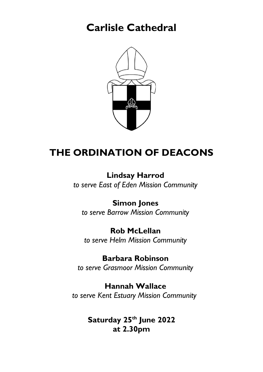# **Carlisle Cathedral**



# **THE ORDINATION OF DEACONS**

**Lindsay Harrod** *to serve East of Eden Mission Community*

**Simon Jones** *to serve Barrow Mission Community*

**Rob McLellan** *to serve Helm Mission Community*

**Barbara Robinson** *to serve Grasmoor Mission Community*

**Hannah Wallace** *to serve Kent Estuary Mission Community*

> **Saturday 25th June 2022 at 2.30pm**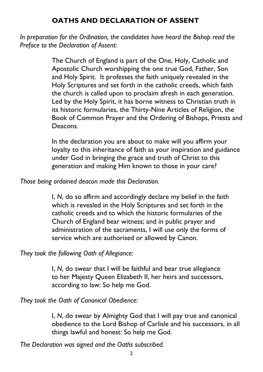## **OATHS AND DECLARATION OF ASSENT**

*In preparation for the Ordination, the candidates have heard the Bishop read the Preface to the Declaration of Assent:*

> The Church of England is part of the One, Holy, Catholic and Apostolic Church worshipping the one true God, Father, Son and Holy Spirit. It professes the faith uniquely revealed in the Holy Scriptures and set forth in the catholic creeds, which faith the church is called upon to proclaim afresh in each generation. Led by the Holy Spirit, it has borne witness to Christian truth in its historic formularies, the Thirty-Nine Articles of Religion, the Book of Common Prayer and the Ordering of Bishops, Priests and Deacons.

In the declaration you are about to make will you affirm your loyalty to this inheritance of faith as your inspiration and guidance under God in bringing the grace and truth of Christ to this generation and making Him known to those in your care?

*Those being ordained deacon made this Declaration.*

I, *N*, do so affirm and accordingly declare my belief in the faith which is revealed in the Holy Scriptures and set forth in the catholic creeds and to which the historic formularies of the Church of England bear witness; and in public prayer and administration of the sacraments, I will use only the forms of service which are authorised or allowed by Canon.

*They took the following Oath of Allegiance:*

I, *N*, do swear that I will be faithful and bear true allegiance to her Majesty Queen Elizabeth II, her heirs and successors, according to law: So help me God.

*They took the Oath of Canonical Obedience:*

I, *N*, do swear by Almighty God that I will pay true and canonical obedience to the Lord Bishop of Carlisle and his successors, in all things lawful and honest: So help me God.

*The Declaration was signed and the Oaths subscribed.*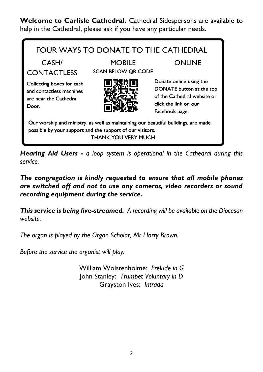**Welcome to Carlisle Cathedral.** Cathedral Sidespersons are available to help in the Cathedral, please ask if you have any particular needs.



*Hearing Aid Users - a loop system is operational in the Cathedral during this service.*

*The congregation is kindly requested to ensure that all mobile phones are switched off and not to use any cameras, video recorders or sound recording equipment during the service.*

*This service is being live-streamed. A recording will be available on the Diocesan website.* 

*The organ is played by the Organ Scholar, Mr Harry Brown.* 

*Before the service the organist will play:*

William Wolstenholme: *Prelude in G* John Stanley: *Trumpet Voluntary in D* Grayston Ives: *Intrada*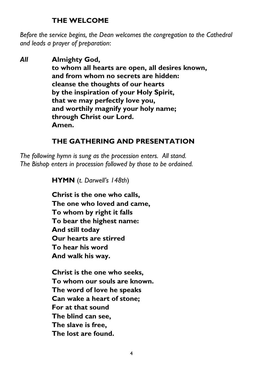## **THE WELCOME**

*Before the service begins, the Dean welcomes the congregation to the Cathedral and leads a prayer of preparation*:

*All* **Almighty God, to whom all hearts are open, all desires known, and from whom no secrets are hidden: cleanse the thoughts of our hearts by the inspiration of your Holy Spirit, that we may perfectly love you, and worthily magnify your holy name; through Christ our Lord. Amen.**

## **THE GATHERING AND PRESENTATION**

*The following hymn is sung as the procession enters. All stand. The Bishop enters in procession followed by those to be ordained.*

**HYMN** (*t. Darwell's 148th*)

**Christ is the one who calls, The one who loved and came, To whom by right it falls To bear the highest name: And still today Our hearts are stirred To hear his word And walk his way.**

**Christ is the one who seeks, To whom our souls are known. The word of love he speaks Can wake a heart of stone; For at that sound The blind can see, The slave is free, The lost are found.**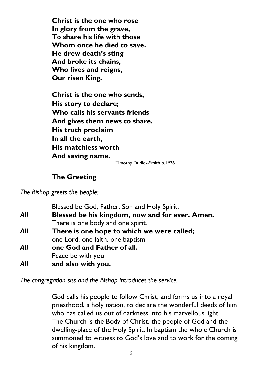**Christ is the one who rose In glory from the grave, To share his life with those Whom once he died to save. He drew death's sting And broke its chains, Who lives and reigns, Our risen King.** 

**Christ is the one who sends, His story to declare; Who calls his servants friends And gives them news to share. His truth proclaim In all the earth, His matchless worth And saving name.** Timothy Dudley-Smith b.1926

## **The Greeting**

*The Bishop greets the people:*

|     | Blessed be God, Father, Son and Holy Spirit.    |
|-----|-------------------------------------------------|
| All | Blessed be his kingdom, now and for ever. Amen. |
|     | There is one body and one spirit.               |
| All | There is one hope to which we were called;      |
|     | one Lord, one faith, one baptism,               |
| All | one God and Father of all.                      |
|     | Peace be with you                               |
| All | and also with you.                              |

*The congregation sits and the Bishop introduces the service.*

God calls his people to follow Christ, and forms us into a royal priesthood, a holy nation, to declare the wonderful deeds of him who has called us out of darkness into his marvellous light. The Church is the Body of Christ, the people of God and the dwelling-place of the Holy Spirit. In baptism the whole Church is summoned to witness to God's love and to work for the coming of his kingdom.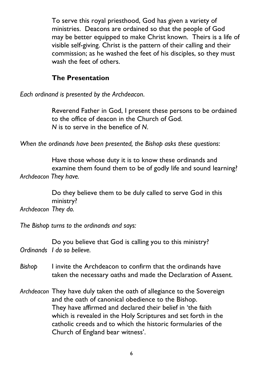To serve this royal priesthood, God has given a variety of ministries. Deacons are ordained so that the people of God may be better equipped to make Christ known. Theirs is a life of visible self-giving. Christ is the pattern of their calling and their commission; as he washed the feet of his disciples, so they must wash the feet of others.

## **The Presentation**

*Each ordinand is presented by the Archdeacon*.

Reverend Father in God, I present these persons to be ordained to the office of deacon in the Church of God. *N* is to serve in the benefice of *N*.

*When the ordinands have been presented, the Bishop asks these questions*:

Have those whose duty it is to know these ordinands and examine them found them to be of godly life and sound learning? *Archdeacon They have.*

Do they believe them to be duly called to serve God in this ministry?

*Archdeacon They do.*

*The Bishop turns to the ordinands and says:*

Do you believe that God is calling you to this ministry? *Ordinands I do so believe.*

- *Bishop* I invite the Archdeacon to confirm that the ordinands have taken the necessary oaths and made the Declaration of Assent.
- *Archdeacon* They have duly taken the oath of allegiance to the Sovereign and the oath of canonical obedience to the Bishop. They have affirmed and declared their belief in 'the faith which is revealed in the Holy Scriptures and set forth in the catholic creeds and to which the historic formularies of the Church of England bear witness'.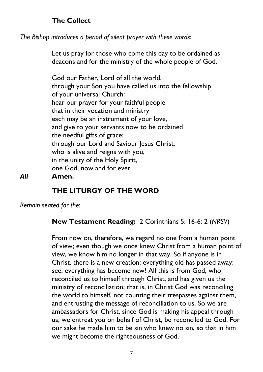## **The Collect**

*The Bishop introduces a period of silent prayer with these words*:

Let us pray for those who come this day to be ordained as deacons and for the ministry of the whole people of God.

God our Father, Lord of all the world, through your Son you have called us into the fellowship of your universal Church: hear our prayer for your faithful people that in their vocation and ministry each may be an instrument of your love, and give to your servants now to be ordained the needful gifts of grace; through our Lord and Saviour Jesus Christ, who is alive and reigns with you, in the unity of the Holy Spirit, one God, now and for ever.

*All* **Amen.**

## **THE LITURGY OF THE WORD**

*Remain seated for the:*

## **New Testament Reading:** 2 Corinthians 5: 16-6: 2 (*NRSV*)

From now on, therefore, we regard no one from a human point of view; even though we once knew Christ from a human point of view, we know him no longer in that way. So if anyone is in Christ, there is a new creation: everything old has passed away; see, everything has become new! All this is from God, who reconciled us to himself through Christ, and has given us the ministry of reconciliation; that is, in Christ God was reconciling the world to himself, not counting their trespasses against them, and entrusting the message of reconciliation to us. So we are ambassadors for Christ, since God is making his appeal through us; we entreat you on behalf of Christ, be reconciled to God. For our sake he made him to be sin who knew no sin, so that in him we might become the righteousness of God.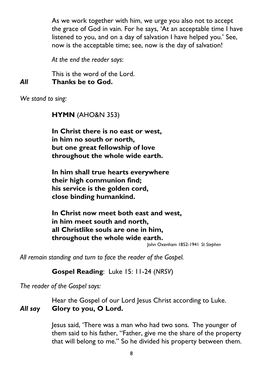As we work together with him, we urge you also not to accept the grace of God in vain. For he says, 'At an acceptable time I have listened to you, and on a day of salvation I have helped you.' See, now is the acceptable time; see, now is the day of salvation!

*At the end the reader says*:

This is the word of the Lord. *All* **Thanks be to God.**

*We stand to sing:*

**HYMN** (AHO&N 353)

**In Christ there is no east or west, in him no south or north, but one great fellowship of love throughout the whole wide earth.**

**In him shall true hearts everywhere their high communion find; his service is the golden cord, close binding humankind.**

**In Christ now meet both east and west, in him meet south and north, all Christlike souls are one in him, throughout the whole wide earth.**

John Oxenham 1852-1941 *St Stephen*

*All remain standing and turn to face the reader of the Gospel.*

**Gospel Reading**: Luke 15: 11-24 (*NRSV*)

*The reader of the Gospel says:*

Hear the Gospel of our Lord Jesus Christ according to Luke. *All say* **Glory to you, O Lord.** 

> Jesus said, 'There was a man who had two sons. The younger of them said to his father, "Father, give me the share of the property that will belong to me." So he divided his property between them.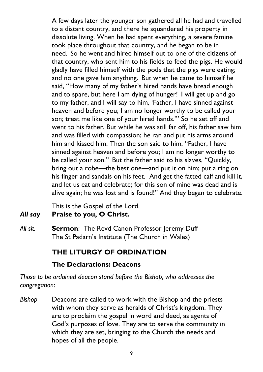A few days later the younger son gathered all he had and travelled to a distant country, and there he squandered his property in dissolute living. When he had spent everything, a severe famine took place throughout that country, and he began to be in need. So he went and hired himself out to one of the citizens of that country, who sent him to his fields to feed the pigs. He would gladly have filled himself with the pods that the pigs were eating; and no one gave him anything. But when he came to himself he said, "How many of my father's hired hands have bread enough and to spare, but here I am dying of hunger! I will get up and go to my father, and I will say to him, 'Father, I have sinned against heaven and before you; I am no longer worthy to be called your son; treat me like one of your hired hands.'" So he set off and went to his father. But while he was still far off, his father saw him and was filled with compassion; he ran and put his arms around him and kissed him. Then the son said to him, "Father, I have sinned against heaven and before you; I am no longer worthy to be called your son." But the father said to his slaves, "Quickly, bring out a robe—the best one—and put it on him; put a ring on his finger and sandals on his feet. And get the fatted calf and kill it, and let us eat and celebrate; for this son of mine was dead and is alive again; he was lost and is found!" And they began to celebrate.

This is the Gospel of the Lord.

- *All say* **Praise to you, O Christ.**
- *All sit.* **Sermon**: The Revd Canon Professor Jeremy Duff The St Padarn's Institute (The Church in Wales)

## **THE LITURGY OF ORDINATION**

#### **The Declarations: Deacons**

*Those to be ordained deacon stand before the Bishop, who addresses the congregation*:

*Bishop* Deacons are called to work with the Bishop and the priests with whom they serve as heralds of Christ's kingdom. They are to proclaim the gospel in word and deed, as agents of God's purposes of love. They are to serve the community in which they are set, bringing to the Church the needs and hopes of all the people.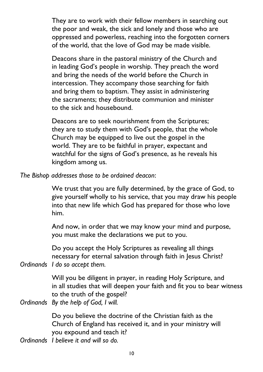They are to work with their fellow members in searching out the poor and weak, the sick and lonely and those who are oppressed and powerless, reaching into the forgotten corners of the world, that the love of God may be made visible.

Deacons share in the pastoral ministry of the Church and in leading God's people in worship. They preach the word and bring the needs of the world before the Church in intercession. They accompany those searching for faith and bring them to baptism. They assist in administering the sacraments; they distribute communion and minister to the sick and housebound.

Deacons are to seek nourishment from the Scriptures; they are to study them with God's people, that the whole Church may be equipped to live out the gospel in the world. They are to be faithful in prayer, expectant and watchful for the signs of God's presence, as he reveals his kingdom among us.

*The Bishop addresses those to be ordained deacon*:

We trust that you are fully determined, by the grace of God, to give yourself wholly to his service, that you may draw his people into that new life which God has prepared for those who love him.

And now, in order that we may know your mind and purpose, you must make the declarations we put to you.

Do you accept the Holy Scriptures as revealing all things necessary for eternal salvation through faith in Jesus Christ? *Ordinands I do so accept them.*

> Will you be diligent in prayer, in reading Holy Scripture, and in all studies that will deepen your faith and fit you to bear witness to the truth of the gospel?

*Ordinands By the help of God, I will.*

Do you believe the doctrine of the Christian faith as the Church of England has received it, and in your ministry will you expound and teach it?

*Ordinands I believe it and will so do.*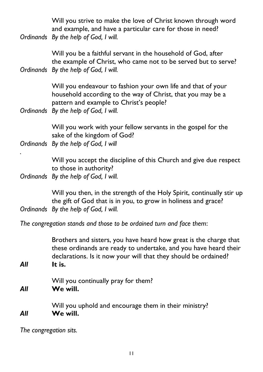|                                                                      | Will you strive to make the love of Christ known through word<br>and example, and have a particular care for those in need?<br>Ordinands By the help of God, I will.                                               |  |
|----------------------------------------------------------------------|--------------------------------------------------------------------------------------------------------------------------------------------------------------------------------------------------------------------|--|
|                                                                      | Will you be a faithful servant in the household of God, after<br>the example of Christ, who came not to be served but to serve?<br>Ordinands By the help of God, I will.                                           |  |
|                                                                      | Will you endeavour to fashion your own life and that of your<br>household according to the way of Christ, that you may be a<br>pattern and example to Christ's people?<br>Ordinands By the help of God, I will.    |  |
|                                                                      | Will you work with your fellow servants in the gospel for the<br>sake of the kingdom of God?<br>Ordinands By the help of God, I will                                                                               |  |
|                                                                      | Will you accept the discipline of this Church and give due respect<br>to those in authority?<br>Ordinands By the help of God, I will.                                                                              |  |
|                                                                      | Will you then, in the strength of the Holy Spirit, continually stir up<br>the gift of God that is in you, to grow in holiness and grace?<br>Ordinands By the help of God, I will.                                  |  |
| The congregation stands and those to be ordained turn and face them: |                                                                                                                                                                                                                    |  |
| All                                                                  | Brothers and sisters, you have heard how great is the charge that<br>these ordinands are ready to undertake, and you have heard their<br>declarations. Is it now your will that they should be ordained?<br>It is. |  |
| All                                                                  | Will you continually pray for them?<br>We will.                                                                                                                                                                    |  |
| All                                                                  | Will you uphold and encourage them in their ministry?<br>We will.                                                                                                                                                  |  |
| The congregation sits.                                               |                                                                                                                                                                                                                    |  |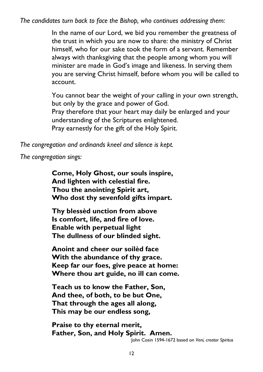*The candidates turn back to face the Bishop, who continues addressing them:*

In the name of our Lord, we bid you remember the greatness of the trust in which you are now to share: the ministry of Christ himself, who for our sake took the form of a servant. Remember always with thanksgiving that the people among whom you will minister are made in God's image and likeness. In serving them you are serving Christ himself, before whom you will be called to account.

You cannot bear the weight of your calling in your own strength, but only by the grace and power of God. Pray therefore that your heart may daily be enlarged and your understanding of the Scriptures enlightened. Pray earnestly for the gift of the Holy Spirit.

*The congregation and ordinands kneel and silence is kept.* 

*The congregation sings:*

**Come, Holy Ghost, our souls inspire, And lighten with celestial fire. Thou the anointing Spirit art, Who dost thy sevenfold gifts impart.**

**Thy blessèd unction from above Is comfort, life, and fire of love. Enable with perpetual light The dullness of our blinded sight.**

**Anoint and cheer our soilèd face With the abundance of thy grace. Keep far our foes, give peace at home: Where thou art guide, no ill can come.**

**Teach us to know the Father, Son, And thee, of both, to be but One, That through the ages all along, This may be our endless song,**

**Praise to thy eternal merit, Father, Son, and Holy Spirit. Amen.**

John Cosin 1594-1672 based on *Veni, creator Spiritus*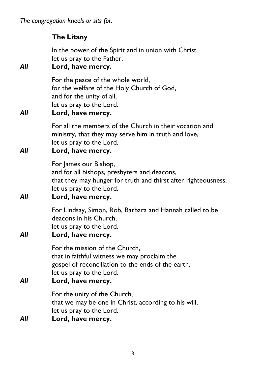# **The Litany**

In the power of the Spirit and in union with Christ, let us pray to the Father.

# *All* **Lord, have mercy.**

For the peace of the whole world, for the welfare of the Holy Church of God, and for the unity of all, let us pray to the Lord.

# *All* **Lord, have mercy.**

For all the members of the Church in their vocation and ministry, that they may serve him in truth and love, let us pray to the Lord.

*All* **Lord, have mercy.**

For James our Bishop,

and for all bishops, presbyters and deacons, that they may hunger for truth and thirst after righteousness, let us pray to the Lord.

*All* **Lord, have mercy.**

For Lindsay, Simon, Rob, Barbara and Hannah called to be deacons in his Church,

let us pray to the Lord.

*All* **Lord, have mercy.**

For the mission of the Church, that in faithful witness we may proclaim the gospel of reconciliation to the ends of the earth, let us pray to the Lord.

*All* **Lord, have mercy.**

For the unity of the Church,

that we may be one in Christ, according to his will, let us pray to the Lord.

*All* **Lord, have mercy.**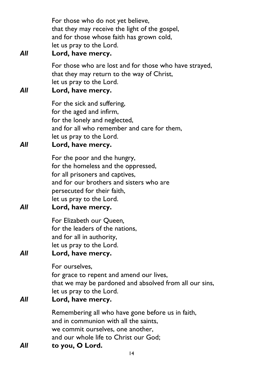For those who do not yet believe, that they may receive the light of the gospel, and for those whose faith has grown cold, let us pray to the Lord.

*All* **Lord, have mercy.**

For those who are lost and for those who have strayed, that they may return to the way of Christ, let us pray to the Lord.

*All* **Lord, have mercy.**

For the sick and suffering, for the aged and infirm, for the lonely and neglected, and for all who remember and care for them, let us pray to the Lord.

*All* **Lord, have mercy.**

For the poor and the hungry, for the homeless and the oppressed, for all prisoners and captives, and for our brothers and sisters who are persecuted for their faith, let us pray to the Lord.

*All* **Lord, have mercy.**

For Elizabeth our Queen*,* for the leaders of the nations, and for all in authority, let us pray to the Lord.

# *All* **Lord, have mercy.**

For ourselves,

for grace to repent and amend our lives, that we may be pardoned and absolved from all our sins, let us pray to the Lord.

*All* **Lord, have mercy.**

Remembering all who have gone before us in faith, and in communion with all the saints, we commit ourselves, one another, and our whole life to Christ our God;

*All* **to you, O Lord.**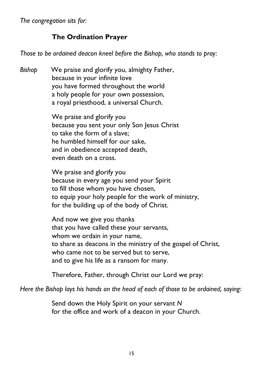# **The Ordination Prayer**

*Those to be ordained deacon kneel before the Bishop, who stands to pray*:

*Bishop* We praise and glorify you, almighty Father, because in your infinite love you have formed throughout the world a holy people for your own possession, a royal priesthood, a universal Church.

> We praise and glorify you because you sent your only Son Jesus Christ to take the form of a slave; he humbled himself for our sake, and in obedience accepted death, even death on a cross.

We praise and glorify you because in every age you send your Spirit to fill those whom you have chosen, to equip your holy people for the work of ministry, for the building up of the body of Christ.

And now we give you thanks that you have called these your servants, whom we ordain in your name, to share as deacons in the ministry of the gospel of Christ, who came not to be served but to serve, and to give his life as a ransom for many.

Therefore, Father, through Christ our Lord we pray:

*Here the Bishop lays his hands on the head of each of those to be ordained, saying*:

Send down the Holy Spirit on your servant *N* for the office and work of a deacon in your Church.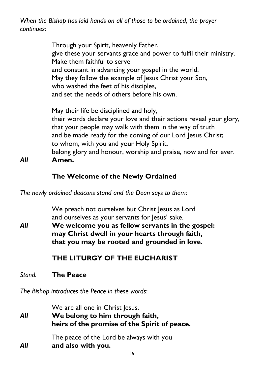*When the Bishop has laid hands on all of those to be ordained, the prayer continues*:

> Through your Spirit, heavenly Father, give these your servants grace and power to fulfil their ministry. Make them faithful to serve and constant in advancing your gospel in the world. May they follow the example of Jesus Christ your Son, who washed the feet of his disciples, and set the needs of others before his own.

May their life be disciplined and holy, their words declare your love and their actions reveal your glory, that your people may walk with them in the way of truth and be made ready for the coming of our Lord Jesus Christ; to whom, with you and your Holy Spirit, belong glory and honour, worship and praise, now and for ever.

*All* **Amen.**

# **The Welcome of the Newly Ordained**

*The newly ordained deacons stand and the Dean says to them*:

We preach not ourselves but Christ Jesus as Lord and ourselves as your servants for Jesus' sake.

*All* **We welcome you as fellow servants in the gospel: may Christ dwell in your hearts through faith, that you may be rooted and grounded in love.**

# **THE LITURGY OF THE EUCHARIST**

*Stand.* **The Peace**

*The Bishop introduces the Peace in these words*:

We are all one in Christ Jesus. *All* **We belong to him through faith, heirs of the promise of the Spirit of peace.** The peace of the Lord be always with you

*All* **and also with you.**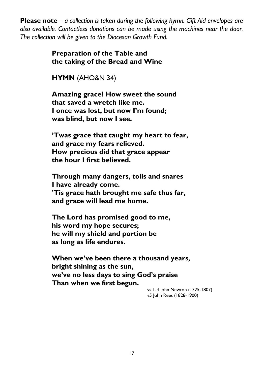**Please note** – *a collection is taken during the following hymn. Gift Aid envelopes are also available. Contactless donations can be made using the machines near the door. The collection will be given to the Diocesan Growth Fund.*

> **Preparation of the Table and the taking of the Bread and Wine**

**HYMN** (AHO&N 34)

**Amazing grace! How sweet the sound that saved a wretch like me. I once was lost, but now I'm found; was blind, but now I see.**

**'Twas grace that taught my heart to fear, and grace my fears relieved. How precious did that grace appear the hour I first believed.**

**Through many dangers, toils and snares I have already come. 'Tis grace hath brought me safe thus far, and grace will lead me home.**

**The Lord has promised good to me, his word my hope secures; he will my shield and portion be as long as life endures.**

**When we've been there a thousand years, bright shining as the sun, we've no less days to sing God's praise Than when we first begun.**

vs 1-4 John Newton (1725-1807) v5 John Rees (1828-1900)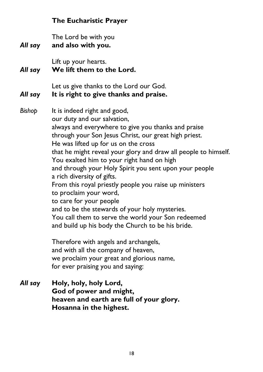## **The Eucharistic Prayer**

The Lord be with you

*All say* **and also with you.**

Lift up your hearts.

*All say* **We lift them to the Lord.**

Let us give thanks to the Lord our God.

## *All say* **It is right to give thanks and praise.**

*Bishop* It is indeed right and good, our duty and our salvation, always and everywhere to give you thanks and praise through your Son Jesus Christ, our great high priest. He was lifted up for us on the cross that he might reveal your glory and draw all people to himself. You exalted him to your right hand on high and through your Holy Spirit you sent upon your people a rich diversity of gifts. From this royal priestly people you raise up ministers to proclaim your word, to care for your people and to be the stewards of your holy mysteries. You call them to serve the world your Son redeemed and build up his body the Church to be his bride.

> Therefore with angels and archangels, and with all the company of heaven, we proclaim your great and glorious name, for ever praising you and saying:

*All say* **Holy, holy, holy Lord, God of power and might, heaven and earth are full of your glory. Hosanna in the highest.**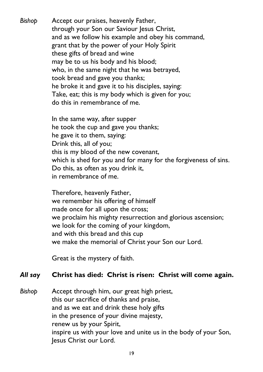*Bishop* Accept our praises, heavenly Father, through your Son our Saviour Jesus Christ, and as we follow his example and obey his command, grant that by the power of your Holy Spirit these gifts of bread and wine may be to us his body and his blood; who, in the same night that he was betrayed, took bread and gave you thanks; he broke it and gave it to his disciples, saying: Take, eat; this is my body which is given for you; do this in remembrance of me.

> In the same way, after supper he took the cup and gave you thanks; he gave it to them, saying: Drink this, all of you; this is my blood of the new covenant, which is shed for you and for many for the forgiveness of sins. Do this, as often as you drink it, in remembrance of me.

Therefore, heavenly Father, we remember his offering of himself made once for all upon the cross; we proclaim his mighty resurrection and glorious ascension; we look for the coming of your kingdom, and with this bread and this cup we make the memorial of Christ your Son our Lord.

Great is the mystery of faith.

## *All say* **Christ has died: Christ is risen: Christ will come again.**

*Bishop* Accept through him, our great high priest, this our sacrifice of thanks and praise, and as we eat and drink these holy gifts in the presence of your divine majesty, renew us by your Spirit, inspire us with your love and unite us in the body of your Son, Jesus Christ our Lord.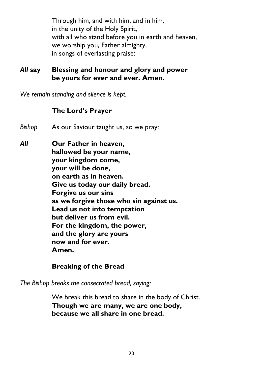Through him, and with him, and in him, in the unity of the Holy Spirit, with all who stand before you in earth and heaven, we worship you, Father almighty, in songs of everlasting praise:

## *All* **say Blessing and honour and glory and power be yours for ever and ever. Amen.**

*We remain standing and* s*ilence is kept.*

## **The Lord's Prayer**

*Bishop* As our Saviour taught us, so we pray:

*All* **Our Father in heaven, hallowed be your name, your kingdom come, your will be done, on earth as in heaven. Give us today our daily bread. Forgive us our sins as we forgive those who sin against us. Lead us not into temptation but deliver us from evil. For the kingdom, the power, and the glory are yours now and for ever. Amen.**

#### **Breaking of the Bread**

*The Bishop breaks the consecrated bread, saying:*

We break this bread to share in the body of Christ. **Though we are many, we are one body, because we all share in one bread.**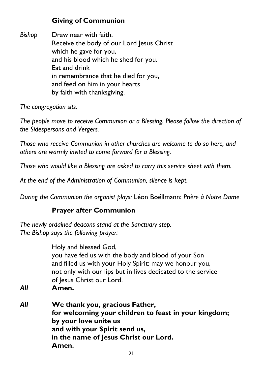## **Giving of Communion**

**Bishop** Draw near with faith. Receive the body of our Lord Jesus Christ which he gave for you, and his blood which he shed for you. Eat and drink in remembrance that he died for you, and feed on him in your hearts by faith with thanksgiving.

*The congregation sits.* 

*The people move to receive Communion or a Blessing. Please follow the direction of the Sidespersons and Vergers.* 

*Those who receive Communion in other churches are welcome to do so here, and others are warmly invited to come forward for a Blessing.* 

*Those who would like a Blessing are asked to carry this service sheet with them.*

*At the end of the Administration of Communion, silence is kept.* 

*During the Communion the organist plays:* Léon Boëllmann: *Prière à Notre Dame*

## **Prayer after Communion**

*The newly ordained deacons stand at the Sanctuary step. The Bishop says the following prayer:*

Holy and blessed God, you have fed us with the body and blood of your Son and filled us with your Holy Spirit: may we honour you, not only with our lips but in lives dedicated to the service of Jesus Christ our Lord. *All* **Amen.** *All* **We thank you, gracious Father, for welcoming your children to feast in your kingdom; by your love unite us and with your Spirit send us, in the name of Jesus Christ our Lord. Amen.**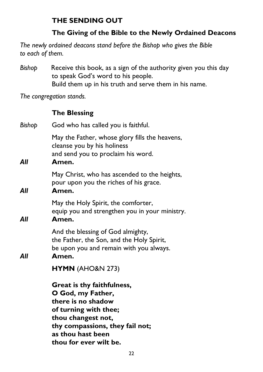# **THE SENDING OUT**

# **The Giving of the Bible to the Newly Ordained Deacons**

*The newly ordained deacons stand before the Bishop who gives the Bible to each of them.*

*Bishop* Receive this book, as a sign of the authority given you this day to speak God's word to his people. Build them up in his truth and serve them in his name.

*The congregation stands.*

# **The Blessing**

*Bishop* God who has called you is faithful. May the Father, whose glory fills the heavens, cleanse you by his holiness and send you to proclaim his word. *All* **Amen.** May Christ, who has ascended to the heights, pour upon you the riches of his grace. *All* **Amen.** May the Holy Spirit, the comforter, equip you and strengthen you in your ministry. *All* **Amen.** And the blessing of God almighty, the Father, the Son, and the Holy Spirit, be upon you and remain with you always. *All* **Amen. HYMN** (AHO&N 273) **Great is thy faithfulness, O God, my Father, there is no shadow of turning with thee; thou changest not, thy compassions, they fail not; as thou hast been thou for ever wilt be.**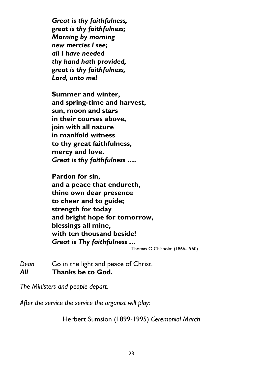*Great is thy faithfulness, great is thy faithfulness; Morning by morning new mercies I see; all I have needed thy hand hath provided, great is thy faithfulness, Lord, unto me!*

**Summer and winter, and spring-time and harvest, sun, moon and stars in their courses above, join with all nature in manifold witness to thy great faithfulness, mercy and love.** *Great is thy faithfulness ….*

**Pardon for sin, and a peace that endureth, thine own dear presence to cheer and to guide; strength for today and bright hope for tomorrow, blessings all mine, with ten thousand beside!** *Great is Thy faithfulness …* Thomas O Chisholm (1866-1960)

*Dean* Go in the light and peace of Christ. *All* **Thanks be to God.** 

*The Ministers and people depart.*

*After the service the service the organist will play:*

Herbert Sumsion (1899-1995) *Ceremonial March*